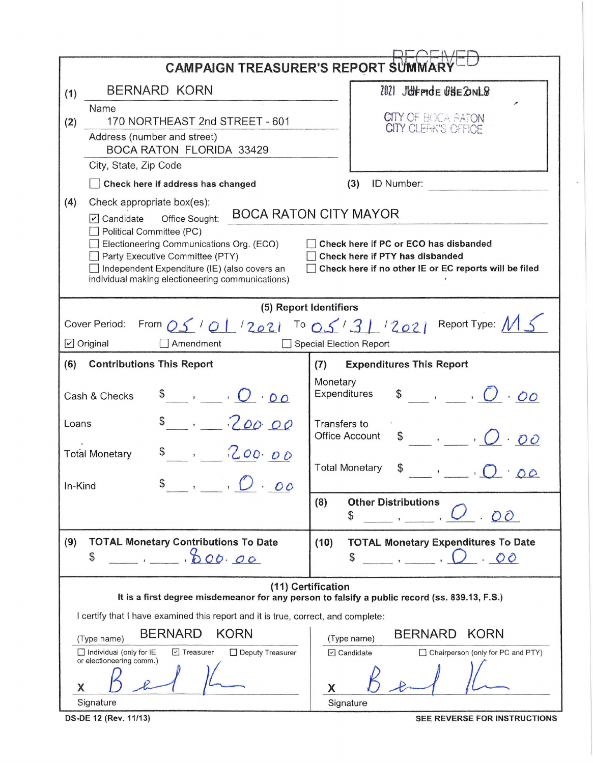|                                                                                                                                                                                 | <b>CAMPAIGN TREASURER'S REPORT SUMMAI</b>                                                                                         |  |  |  |  |  |
|---------------------------------------------------------------------------------------------------------------------------------------------------------------------------------|-----------------------------------------------------------------------------------------------------------------------------------|--|--|--|--|--|
| <b>BERNARD KORN</b><br>(1)                                                                                                                                                      | 2021 JOFFICE GSE ONLS                                                                                                             |  |  |  |  |  |
| Name                                                                                                                                                                            | <b>CITY OF BOCA BATON</b>                                                                                                         |  |  |  |  |  |
| 170 NORTHEAST 2nd STREET - 601<br>(2)<br>Address (number and street)                                                                                                            | <b>CITY CLEFK'S OFFICE</b>                                                                                                        |  |  |  |  |  |
| <b>BOCA RATON FLORIDA 33429</b>                                                                                                                                                 |                                                                                                                                   |  |  |  |  |  |
| City, State, Zip Code                                                                                                                                                           |                                                                                                                                   |  |  |  |  |  |
| Check here if address has changed                                                                                                                                               | (3)<br>ID Number:                                                                                                                 |  |  |  |  |  |
| (4)<br>Check appropriate box(es):<br><b>BOCA RATON CITY MAYOR</b><br>$\triangleright$ Candidate<br>Office Sought:<br>Political Committee (PC)                                   |                                                                                                                                   |  |  |  |  |  |
| Electioneering Communications Org. (ECO)<br>Party Executive Committee (PTY)<br>Independent Expenditure (IE) (also covers an<br>individual making electioneering communications) | Check here if PC or ECO has disbanded<br>Check here if PTY has disbanded<br>Check here if no other IE or EC reports will be filed |  |  |  |  |  |
|                                                                                                                                                                                 | (5) Report Identifiers                                                                                                            |  |  |  |  |  |
| Cover Period:<br>Amendment<br>$\triangleright$ Original                                                                                                                         | From $0.5$ $101$ $12021$ To $0.5$ $1.31$ $12021$ Report Type: M S<br>Special Election Report                                      |  |  |  |  |  |
| (6)<br><b>Contributions This Report</b>                                                                                                                                         | <b>Expenditures This Report</b><br>(7)                                                                                            |  |  |  |  |  |
| $\begin{array}{ccccc}\n\bullet & \cdot & \cdot & \cdot & \circ & \circ\n\end{array}$<br>Cash & Checks                                                                           | Monetary<br>$\sqrt[3]{}$ , $\sqrt[3]{}$ , $\sqrt[3]{}$<br>Expenditures                                                            |  |  |  |  |  |
| $s_{-1}$ . 200.00<br>Loans                                                                                                                                                      | Transfers to<br>$\begin{array}{ccccc}\n\bullet & \cdot & \cdot & \cdot & \cdot & \cdot\n\end{array}$<br><b>Office Account</b>     |  |  |  |  |  |
| 200.00<br><b>Total Monetary</b>                                                                                                                                                 | <b>Total Monetary</b><br>00                                                                                                       |  |  |  |  |  |
| $\int$ , $\int$ . 00<br>In-Kind                                                                                                                                                 |                                                                                                                                   |  |  |  |  |  |
|                                                                                                                                                                                 | (8)<br><b>Other Distributions</b><br>OO<br>\$                                                                                     |  |  |  |  |  |
| (9)<br><b>TOTAL Monetary Contributions To Date</b><br>\$<br>000.00<br>$\overline{1}$                                                                                            | (10)<br><b>TOTAL Monetary Expenditures To Date</b><br>\$<br>. 00                                                                  |  |  |  |  |  |
|                                                                                                                                                                                 | (11) Certification<br>It is a first degree misdemeanor for any person to falsify a public record (ss. 839.13, F.S.)               |  |  |  |  |  |
| I certify that I have examined this report and it is true, correct, and complete:                                                                                               |                                                                                                                                   |  |  |  |  |  |
| <b>BERNARD</b><br><b>KORN</b><br><b>BERNARD</b><br><b>KORN</b><br>(Type name)<br>(Type name)                                                                                    |                                                                                                                                   |  |  |  |  |  |
| $\Box$ Individual (only for IE<br>$\boxed{v}$ Treasurer<br>Deputy Treasurer<br>or electioneering comm.)                                                                         | $\Box$ Candidate<br>Chairperson (only for PC and PTY)                                                                             |  |  |  |  |  |
| Х                                                                                                                                                                               | X                                                                                                                                 |  |  |  |  |  |
| Signature                                                                                                                                                                       | Signature                                                                                                                         |  |  |  |  |  |